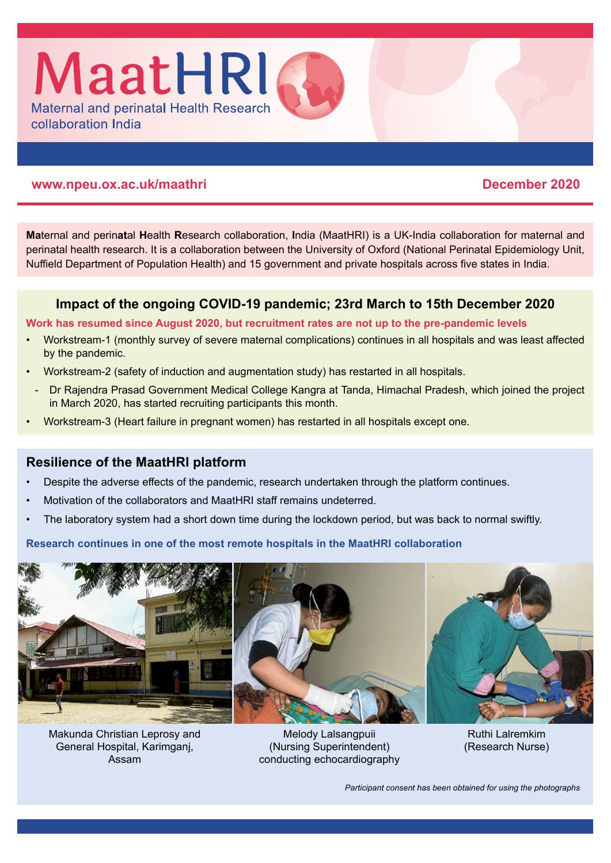

# **www.npeu.ox.ac.uk/maathri December 2020**

**Ma**ternal and perin**at**al **H**ealth **R**esearch collaboration, **I**ndia (MaatHRI) is a UK-India collaboration for maternal and perinatal health research. It is a collaboration between the University of Oxford (National Perinatal Epidemiology Unit, Nuffield Department of Population Health) and 15 government and private hospitals across five states in India.

# **Impact of the ongoing COVID-19 pandemic; 23rd March to 15th December 2020**

## **Work has resumed since August 2020, but recruitment rates are not up to the pre-pandemic levels**

- Workstream-1 (monthly survey of severe maternal complications) continues in all hospitals and was least affected by the pandemic.
- Workstream-2 (safety of induction and augmentation study) has restarted in all hospitals.
- Dr Rajendra Prasad Government Medical College Kangra at Tanda, Himachal Pradesh, which joined the project in March 2020, has started recruiting participants this month.
- Workstream-3 (Heart failure in pregnant women) has restarted in all hospitals except one.

# **Resilience of the MaatHRI platform**

- Despite the adverse effects of the pandemic, research undertaken through the platform continues.
- Motivation of the collaborators and MaatHRI staff remains undeterred.
- The laboratory system had a short down time during the lockdown period, but was back to normal swiftly.

**Research continues in one of the most remote hospitals in the MaatHRI collaboration** 



Makunda Christian Leprosy and General Hospital, Karimganj, Assam

Melody Lalsangpuii (Nursing Superintendent) conducting echocardiography

Ruthi Lalremkim (Research Nurse)

*Participant consent has been obtained for using the photographs*